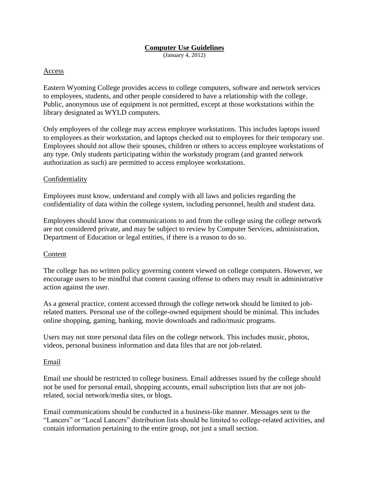# **Computer Use Guidelines**

(January 4, 2012)

### Access

Eastern Wyoming College provides access to college computers, software and network services to employees, students, and other people considered to have a relationship with the college. Public, anonymous use of equipment is not permitted, except at those workstations within the library designated as WYLD computers.

Only employees of the college may access employee workstations. This includes laptops issued to employees as their workstation, and laptops checked out to employees for their temporary use. Employees should not allow their spouses, children or others to access employee workstations of any type. Only students participating within the workstudy program (and granted network authorization as such) are permitted to access employee workstations.

### Confidentiality

Employees must know, understand and comply with all laws and policies regarding the confidentiality of data within the college system, including personnel, health and student data.

Employees should know that communications to and from the college using the college network are not considered private, and may be subject to review by Computer Services, administration, Department of Education or legal entities, if there is a reason to do so.

### Content

The college has no written policy governing content viewed on college computers. However, we encourage users to be mindful that content causing offense to others may result in administrative action against the user.

As a general practice, content accessed through the college network should be limited to jobrelated matters. Personal use of the college-owned equipment should be minimal. This includes online shopping, gaming, banking, movie downloads and radio/music programs.

Users may not store personal data files on the college network. This includes music, photos, videos, personal business information and data files that are not job-related.

### Email

Email use should be restricted to college business. Email addresses issued by the college should not be used for personal email, shopping accounts, email subscription lists that are not jobrelated, social network/media sites, or blogs.

Email communications should be conducted in a business-like manner. Messages sent to the "Lancers" or "Local Lancers" distribution lists should be limited to college-related activities, and contain information pertaining to the entire group, not just a small section.